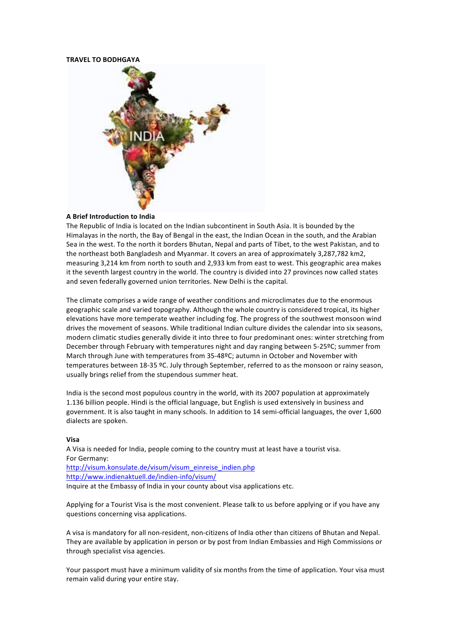#### **TRAVEL'TO'BODHGAYA'**



## **A'Brief'Introduction'to'India''**

The Republic of India is located on the Indian subcontinent in South Asia. It is bounded by the Himalayas in the north, the Bay of Bengal in the east, the Indian Ocean in the south, and the Arabian Sea in the west. To the north it borders Bhutan, Nepal and parts of Tibet, to the west Pakistan, and to the northeast both Bangladesh and Myanmar. It covers an area of approximately 3,287,782 km2, measuring 3,214 km from north to south and 2.933 km from east to west. This geographic area makes it the seventh largest country in the world. The country is divided into 27 provinces now called states and seven federally governed union territories. New Delhi is the capital.

The climate comprises a wide range of weather conditions and microclimates due to the enormous geographic scale and varied topography. Although the whole country is considered tropical, its higher elevations have more temperate weather including fog. The progress of the southwest monsoon wind drives the movement of seasons. While traditional Indian culture divides the calendar into six seasons, modern climatic studies generally divide it into three to four predominant ones: winter stretching from December through February with temperatures night and day ranging between 5-25°C; summer from March through June with temperatures from 35-48ºC; autumn in October and November with temperatures between 18-35 °C. July through September, referred to as the monsoon or rainy season, usually brings relief from the stupendous summer heat.

India is the second most populous country in the world, with its 2007 population at approximately 1.136 billion people. Hindi is the official language, but English is used extensively in business and government. It is also taught in many schools. In addition to 14 semi-official languages, the over 1,600 dialects are spoken.

#### **Visa**

A Visa is needed for India, people coming to the country must at least have a tourist visa. For Germany: http://visum.konsulate.de/visum/visum\_einreise\_indien.php http://www.indienaktuell.de/indien-info/visum/ Inquire at the Embassy of India in your county about visa applications etc.

Applying for a Tourist Visa is the most convenient. Please talk to us before applying or if you have any questions concerning visa applications.

A visa is mandatory for all non-resident, non-citizens of India other than citizens of Bhutan and Nepal. They are available by application in person or by post from Indian Embassies and High Commissions or through specialist visa agencies.

Your passport must have a minimum validity of six months from the time of application. Your visa must remain valid during your entire stay.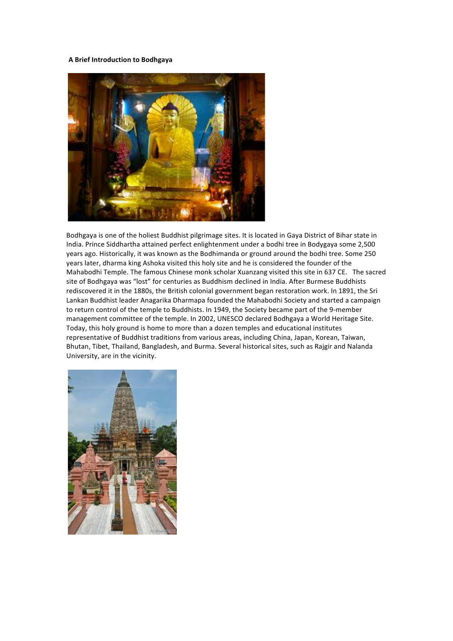## **A'Brief'Introduction'to'Bodhgaya'**



Bodhgaya is one of the holiest Buddhist pilgrimage sites. It is located in Gaya District of Bihar state in India. Prince Siddhartha attained perfect enlightenment under a bodhi tree in Bodygaya some 2,500 years ago. Historically, it was known as the Bodhimanda or ground around the bodhi tree. Some 250 years later, dharma king Ashoka visited this holy site and he is considered the founder of the Mahabodhi Temple. The famous Chinese monk scholar Xuanzang visited this site in 637 CE. The sacred site of Bodhgaya was "lost" for centuries as Buddhism declined in India. After Burmese Buddhists rediscovered it in the 1880s, the British colonial government began restoration work. In 1891, the Sri Lankan Buddhist leader Anagarika Dharmapa founded the Mahabodhi Society and started a campaign to return control of the temple to Buddhists. In 1949, the Society became part of the 9-member management committee of the temple. In 2002, UNESCO declared Bodhgaya a World Heritage Site. Today, this holy ground is home to more than a dozen temples and educational institutes representative of Buddhist traditions from various areas, including China, Japan, Korean, Taiwan, Bhutan, Tibet, Thailand, Bangladesh, and Burma. Several historical sites, such as Rajgir and Nalanda University, are in the vicinity.

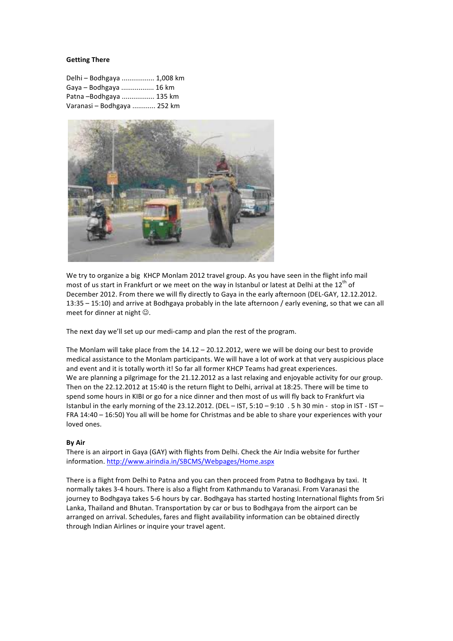## **Getting'There''**

| Delhi - Bodhgaya  1,008 km  |  |
|-----------------------------|--|
| Gaya - Bodhgaya  16 km      |  |
| Patna-Bodhgaya  135 km      |  |
| Varanasi - Bodhgaya  252 km |  |



We try to organize a big KHCP Monlam 2012 travel group. As you have seen in the flight info mail most of us start in Frankfurt or we meet on the way in Istanbul or latest at Delhi at the 12<sup>th</sup> of December 2012. From there we will fly directly to Gaya in the early afternoon (DEL-GAY, 12.12.2012. 13:35 – 15:10) and arrive at Bodhgaya probably in the late afternoon / early evening, so that we can all meet for dinner at night  $\odot$ .

The next day we'll set up our medi-camp and plan the rest of the program.

The Monlam will take place from the  $14.12 - 20.12.2012$ , were we will be doing our best to provide medical assistance to the Monlam participants. We will have a lot of work at that very auspicious place and event and it is totally worth it! So far all former KHCP Teams had great experiences. We are planning a pilgrimage for the 21.12.2012 as a last relaxing and enjoyable activity for our group. Then on the 22.12.2012 at 15:40 is the return flight to Delhi, arrival at 18:25. There will be time to spend some hours in KIBI or go for a nice dinner and then most of us will fly back to Frankfurt via Istanbul in the early morning of the 23.12.2012. (DEL – IST, 5:10 – 9:10 . 5 h 30 min - stop in IST - IST – FRA 14:40 – 16:50) You all will be home for Christmas and be able to share your experiences with your loved ones.

### **By Air**

There is an airport in Gaya (GAY) with flights from Delhi. Check the Air India website for further information. http://www.airindia.in/SBCMS/Webpages/Home.aspx

There is a flight from Delhi to Patna and you can then proceed from Patna to Bodhgaya by taxi. It normally takes 3-4 hours. There is also a flight from Kathmandu to Varanasi. From Varanasi the journey to Bodhgaya takes 5-6 hours by car. Bodhgaya has started hosting International flights from Sri Lanka, Thailand and Bhutan. Transportation by car or bus to Bodhgaya from the airport can be arranged on arrival. Schedules, fares and flight availability information can be obtained directly through Indian Airlines or inquire your travel agent.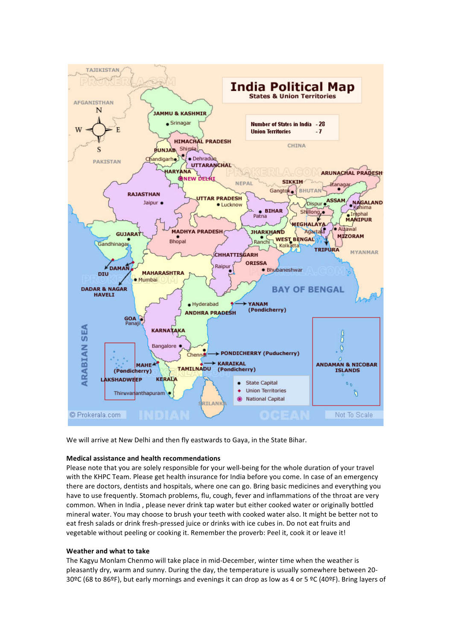

We will arrive at New Delhi and then fly eastwards to Gaya, in the State Bihar.

# **Medical'assistance'and'health'recommendations**

Please note that you are solely responsible for your well-being for the whole duration of your travel with the KHPC Team. Please get health insurance for India before you come. In case of an emergency there are doctors, dentists and hospitals, where one can go. Bring basic medicines and everything you have to use frequently. Stomach problems, flu, cough, fever and inflammations of the throat are very common. When in India, please never drink tap water but either cooked water or originally bottled mineral water. You may choose to brush your teeth with cooked water also. It might be better not to eat fresh salads or drink fresh-pressed juice or drinks with ice cubes in. Do not eat fruits and vegetable without peeling or cooking it. Remember the proverb: Peel it, cook it or leave it!

### Weather and what to take

The Kagyu Monlam Chenmo will take place in mid-December, winter time when the weather is pleasantly dry, warm and sunny. During the day, the temperature is usually somewhere between 20-30ºC (68 to 86ºF), but early mornings and evenings it can drop as low as 4 or 5 ºC (40ºF). Bring layers of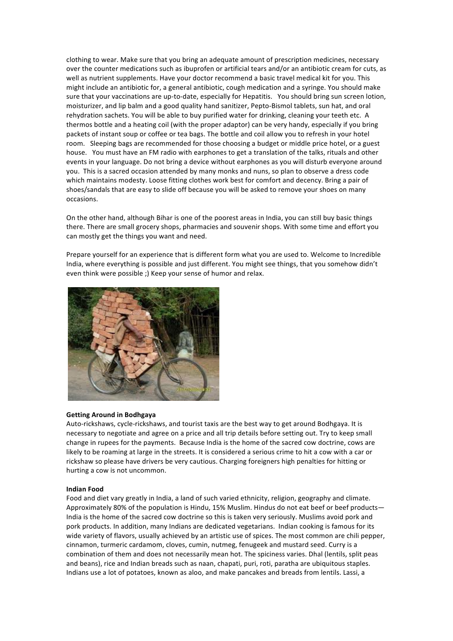clothing to wear. Make sure that you bring an adequate amount of prescription medicines, necessary over the counter medications such as ibuprofen or artificial tears and/or an antibiotic cream for cuts, as well as nutrient supplements. Have your doctor recommend a basic travel medical kit for you. This might include an antibiotic for, a general antibiotic, cough medication and a syringe. You should make sure that your vaccinations are up-to-date, especially for Hepatitis. You should bring sun screen lotion, moisturizer, and lip balm and a good quality hand sanitizer, Pepto-Bismol tablets, sun hat, and oral rehydration sachets. You will be able to buy purified water for drinking, cleaning your teeth etc. A thermos bottle and a heating coil (with the proper adaptor) can be very handy, especially if you bring packets of instant soup or coffee or tea bags. The bottle and coil allow you to refresh in your hotel room. Sleeping bags are recommended for those choosing a budget or middle price hotel, or a guest house. You must have an FM radio with earphones to get a translation of the talks, rituals and other events in your language. Do not bring a device without earphones as you will disturb everyone around you. This is a sacred occasion attended by many monks and nuns, so plan to observe a dress code which maintains modesty. Loose fitting clothes work best for comfort and decency. Bring a pair of shoes/sandals that are easy to slide off because you will be asked to remove your shoes on many occasions.

On the other hand, although Bihar is one of the poorest areas in India, you can still buy basic things there. There are small grocery shops, pharmacies and souvenir shops. With some time and effort you can mostly get the things you want and need.

Prepare yourself for an experience that is different form what you are used to. Welcome to Incredible India, where everything is possible and just different. You might see things, that you somehow didn't even think were possible ;) Keep your sense of humor and relax.



### **Getting'Around'in'Bodhgaya'**

Auto-rickshaws, cycle-rickshaws, and tourist taxis are the best way to get around Bodhgaya. It is necessary to negotiate and agree on a price and all trip details before setting out. Try to keep small change in rupees for the payments. Because India is the home of the sacred cow doctrine, cows are likely to be roaming at large in the streets. It is considered a serious crime to hit a cow with a car or rickshaw so please have drivers be very cautious. Charging foreigners high penalties for hitting or hurting a cow is not uncommon.

### **Indian'Food'**

Food and diet vary greatly in India, a land of such varied ethnicity, religion, geography and climate. Approximately 80% of the population is Hindu, 15% Muslim. Hindus do not eat beef or beef products-India is the home of the sacred cow doctrine so this is taken very seriously. Muslims avoid pork and pork products. In addition, many Indians are dedicated vegetarians. Indian cooking is famous for its wide variety of flavors, usually achieved by an artistic use of spices. The most common are chili pepper, cinnamon, turmeric cardamom, cloves, cumin, nutmeg, fenugeek and mustard seed. Curry is a combination of them and does not necessarily mean hot. The spiciness varies. Dhal (lentils, split peas and beans), rice and Indian breads such as naan, chapati, puri, roti, paratha are ubiquitous staples. Indians use a lot of potatoes, known as aloo, and make pancakes and breads from lentils. Lassi, a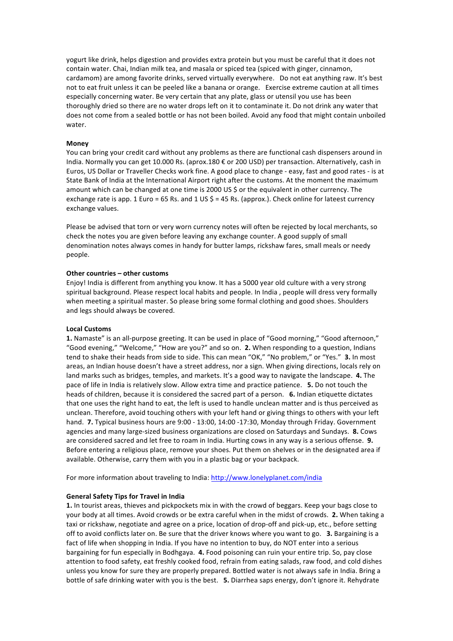yogurt like drink, helps digestion and provides extra protein but you must be careful that it does not contain water. Chai, Indian milk tea, and masala or spiced tea (spiced with ginger, cinnamon, cardamom) are among favorite drinks, served virtually everywhere. Do not eat anything raw. It's best not to eat fruit unless it can be peeled like a banana or orange. Exercise extreme caution at all times especially concerning water. Be very certain that any plate, glass or utensil you use has been thoroughly dried so there are no water drops left on it to contaminate it. Do not drink any water that does not come from a sealed bottle or has not been boiled. Avoid any food that might contain unboiled water.

### **Money**

You can bring your credit card without any problems as there are functional cash dispensers around in India. Normally you can get 10.000 Rs. (aprox.180 € or 200 USD) per transaction. Alternatively, cash in Euros, US Dollar or Traveller Checks work fine. A good place to change - easy, fast and good rates - is at State Bank of India at the International Airport right after the customs. At the moment the maximum amount which can be changed at one time is 2000 US \$ or the equivalent in other currency. The exchange rate is app. 1 Euro = 65 Rs. and 1 US  $$ = 45$  Rs. (approx.). Check online for lateest currency exchange values.

Please be advised that torn or very worn currency notes will often be rejected by local merchants, so check the notes you are given before leaving any exchange counter. A good supply of small denomination notes always comes in handy for butter lamps, rickshaw fares, small meals or needy people.

### Other countries - other customs

Enjoy! India is different from anything you know. It has a 5000 year old culture with a very strong spiritual background. Please respect local habits and people. In India, people will dress very formally when meeting a spiritual master. So please bring some formal clothing and good shoes. Shoulders and legs should always be covered.

### **Local'Customs**

1. Namaste" is an all-purpose greeting. It can be used in place of "Good morning," "Good afternoon," "Good evening," "Welcome," "How are you?" and so on. 2. When responding to a question, Indians tend to shake their heads from side to side. This can mean "OK," "No problem," or "Yes." 3. In most areas, an Indian house doesn't have a street address, nor a sign. When giving directions, locals rely on land marks such as bridges, temples, and markets. It's a good way to navigate the landscape. 4. The pace of life in India is relatively slow. Allow extra time and practice patience. **5.** Do not touch the heads of children, because it is considered the sacred part of a person. **6.** Indian etiquette dictates that one uses the right hand to eat, the left is used to handle unclean matter and is thus perceived as unclean. Therefore, avoid touching others with your left hand or giving things to others with your left hand. **7.** Typical business hours are 9:00 - 13:00, 14:00 -17:30, Monday through Friday. Government agencies and many large-sized business organizations are closed on Saturdays and Sundays. **8.** Cows are considered sacred and let free to roam in India. Hurting cows in any way is a serious offense. **9.** Before entering a religious place, remove your shoes. Put them on shelves or in the designated area if available. Otherwise, carry them with you in a plastic bag or your backpack.

For more information about traveling to India: http://www.lonelyplanet.com/india

### **General'Safety'Tips'for'Travel'in'India'**

**1.** In tourist areas, thieves and pickpockets mix in with the crowd of beggars. Keep your bags close to your body at all times. Avoid crowds or be extra careful when in the midst of crowds. **2.** When taking a taxi or rickshaw, negotiate and agree on a price, location of drop-off and pick-up, etc., before setting off to avoid conflicts later on. Be sure that the driver knows where you want to go. **3.** Bargaining is a fact of life when shopping in India. If you have no intention to buy, do NOT enter into a serious bargaining for fun especially in Bodhgaya. 4. Food poisoning can ruin your entire trip. So, pay close attention to food safety, eat freshly cooked food, refrain from eating salads, raw food, and cold dishes unless you know for sure they are properly prepared. Bottled water is not always safe in India. Bring a bottle of safe drinking water with you is the best. **5.** Diarrhea saps energy, don't ignore it. Rehydrate